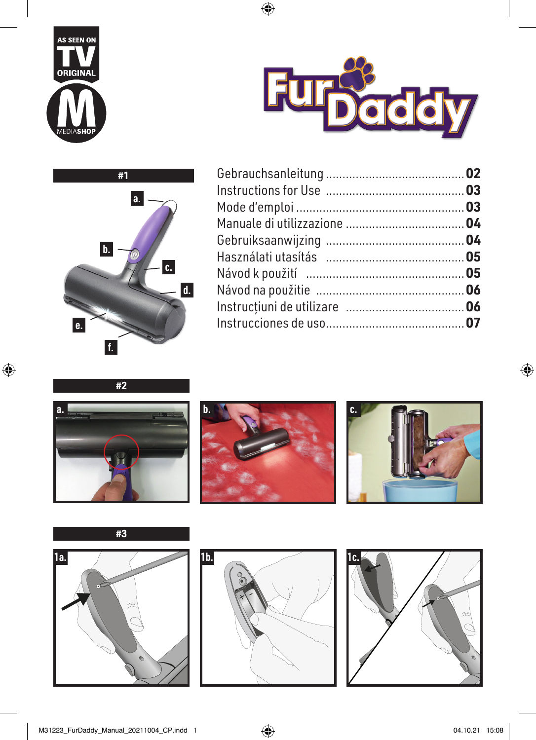

 $\bigoplus$ 









 $\bigoplus$ 









 $\bigoplus$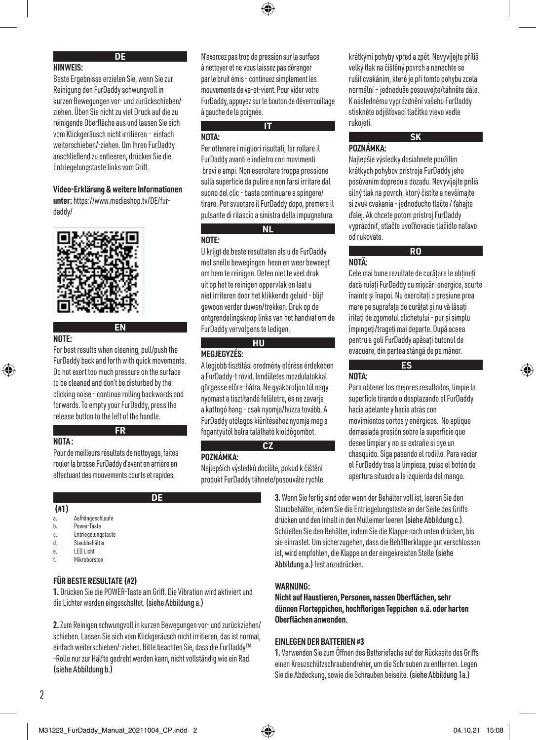**HINWEIS:**

Beste Ergebnisse erzielen Sie, wenn Sie zur Reinigung den FurDaddy schwungvoll in kurzen Bewegungen vor- und zurückschieben/ ziehen. Üben Sie nicht zu viel Druck auf die zu reinigende Oberfläche aus und lassen Sie sich vom Klickgeräusch nicht irritieren – einfach weiterschieben/-ziehen. Um Ihren FurDaddy anschließend zu entleeren, drücken Sie die Entriegelungstaste links vom Griff.

**DE**

## **Video-Erklärung & weitere Informationen**

**unter:** https://www.mediashop.tv/DE/furdaddy/



For best results when cleaning, pull/push the FurDaddy back and forth with quick movements. Do not exert too much pressure on the surface to be cleaned and don't be disturbed by the clicking noise - continue rolling backwards and forwards. To empty your FurDaddy, press the release button to the left of the handle.

**EN**

## **NOTA :**

**NOTE:**

⊕

Pour de meilleurs résultats de nettoyage, faites rouler la brosse FurDaddy d'avant en arrière en effectuant des mouvements courts et rapides.

**FR**

| <b>DE</b> |                    |  |  |
|-----------|--------------------|--|--|
| (11)      |                    |  |  |
| a.        | Aufhängeschlaufe   |  |  |
| b.        | Power-Taste        |  |  |
| C.        | Entriegelungstaste |  |  |
| d.        | Staubbehälter      |  |  |
| e.        | <b>LED Licht</b>   |  |  |
| f.        | Mikroborsten       |  |  |
|           |                    |  |  |
| $\cdots$  | <b>STATISTICS</b>  |  |  |

# **FÜR BESTE RESULTATE (#2)**

**1.** Drücken Sie die POWER-Taste am Griff. Die Vibration wird aktiviert und die Lichter werden eingeschaltet. (siehe Abbildung a.)

**2.** Zum Reinigen schwungvoll in kurzen Bewegungen vor- und zurückziehen/ schieben. Lassen Sie sich vom Klickgeräusch nicht irritieren, das ist normal, einfach weiterschieben/-ziehen. Bitte beachten Sie, dass die FurDaddy™ -Rolle nur zur Hälfte gedreht werden kann, nicht vollständig wie ein Rad. (siehe Abbildung b.)

N'exercez pas trop de pression sur la surface à nettoyer et ne vous laissez pas déranger par le bruit émis - continuez simplement les mouvements de va-et-vient. Pour vider votre FurDaddy, appuyez sur le bouton de déverrouillage à gauche de la poignée.

**IT**

**NOTA:**

Per ottenere i migliori risultati, far rollare il FurDaddy avanti e indietro con movimenti brevi e ampi. Non esercitare troppa pressione sulla superficie da pulire e non farsi irritare dal suono del clic - basta continuare a spingere/ tirare. Per svuotare il FurDaddy dopo, premere il pulsante di rilascio a sinistra della impugnatura.

**NL**

# **NOTE:**

U krijgt de beste resultaten als u de FurDaddy met snelle bewegingen heen en weer beweegt om hem te reinigen. Oefen niet te veel druk uit op het te reinigen oppervlak en laat u niet irriteren door het klikkende geluid - blijf gewoon verder duwen/trekken. Druk op de ontgrendelingsknop links van het handvat om de FurDaddy vervolgens te ledigen.

### **HUNOTE: MEGJEGYZÉS:**

A legjobb tisztítási eredmény elérése érdekében a FurDaddy-t rövid, lendületes mozdulatokkal görgesse előre-hátra. Ne gyakoroljon túl nagy nyomást a tisztítandó felületre, és ne zavarja a kattogó hang - csak nyomja/húzza tovább. A FurDaddy utólagos kiürítéséhez nyomja meg a fogantyútól balra található kioldógombot.

**CZ**

# **POZNÁMKA:**

Nejlepších výsledků docílíte, pokud k čištění produkt FurDaddy táhnete/posouváte rychle krátkými pohyby vpřed a zpět. Nevyvíjejte příliš velký tlak na čištěný povrch a nenechte se rušit cvakáním, které je při tomto pohybu zcela normální – jednoduše posouvejte/táhněte dále. K následnému vyprázdnění vašeho FurDaddy stiskněte odjišťovací tlačítko vlevo vedle rukojeti.

**SK**

# **POZNÁMKA:**

Najlepšie výsledky dosiahnete použitím krátkych pohybov prístroja FurDaddy jeho posúvaním dopredu a dozadu. Nevyvíjajte príliš silný tlak na povrch, ktorý čistíte a nevšímajte si zvuk cvakania - jednoducho tlačte / ťahajte ďalej. Ak chcete potom prístroj FurDaddy vyprázdniť, stlačte uvoľňovacie tlačidlo naľavo od rukoväte.

**RO**

# **NOTĂ:**

Cele mai bune rezultate de curăţare le obţineţi dacă rulaţi FurDaddy cu mişcări energice, scurte înainte și înapoi. Nu exercitati o presiune prea mare pe suprafaţa de curăţat şi nu vă lăsaţi iritati de zgomotul clichetului - pur si simplu împingeţi/trageţi mai departe. După aceea pentru a goli FurDaddy apăsaţi butonul de evacuare, din partea stângă de pe mâner.

**ESNOTE:**

# **NOTA:**

Para obtener los mejores resultados, limpie la superficie tirando o desplazando el FurDaddy hacia adelante y hacia atrás con movimientos cortos y enérgicos. No aplique demasiada presión sobre la superficie que desee limpiar y no se extrañe si oye un chasquido. Siga pasando el rodillo. Para vaciar el FurDaddy tras la limpieza, pulse el botón de apertura situado a la izquierda del mango.

**3.** Wenn Sie fertig sind oder wenn der Behälter voll ist, leeren Sie den Staubbehälter, indem Sie die Entriegelungstaste an der Seite des Griffs drücken und den Inhalt in den Mülleimer leeren (siehe Abbildung c.). Schließen Sie den Behälter, indem Sie die Klappe nach unten drücken, bis sie einrastet. Um sicherzugehen, dass die Behälterklappe gut verschlossen ist, wird empfohlen, die Klappe an der eingekreisten Stelle (siehe Abbildung a.) fest anzudrücken.

## **WARNUNG:**

**Nicht auf Haustieren, Personen, nassen Oberflächen, sehr dünnen Florteppichen, hochflorigen Teppichen o.ä. oder harten Oberflächen anwenden.**

# **EINLEGEN DER BATTERIEN #3**

**1.** Verwenden Sie zum Öffnen des Batteriefachs auf der Rückseite des Griffs einen Kreuzschlitzschraubendreher, um die Schrauben zu entfernen. Legen Sie die Abdeckung, sowie die Schrauben beiseite. (siehe Abbildung 1a.)

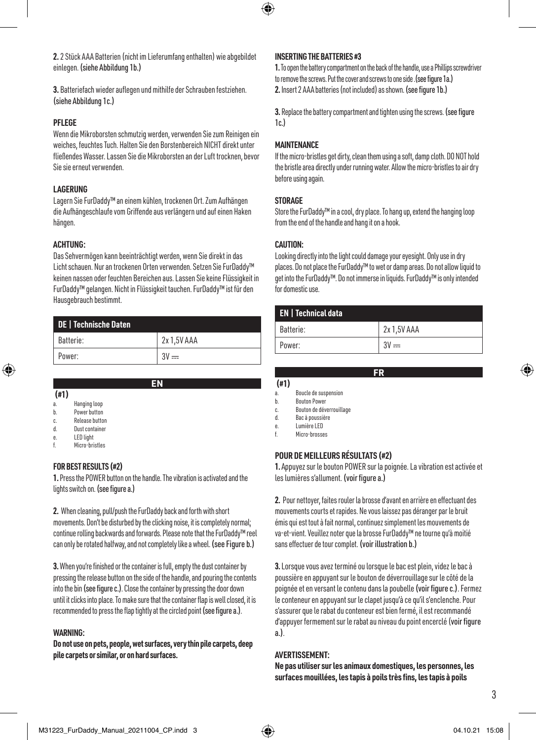€

**2.** 2 Stück AAA Batterien (nicht im Lieferumfang enthalten) wie abgebildet einlegen. (siehe Abbildung 1b.)

**3.** Batteriefach wieder auflegen und mithilfe der Schrauben festziehen. (siehe Abbildung 1c.)

# **PFLEGE**

Wenn die Mikroborsten schmutzig werden, verwenden Sie zum Reinigen ein weiches, feuchtes Tuch. Halten Sie den Borstenbereich NICHT direkt unter fließendes Wasser. Lassen Sie die Mikroborsten an der Luft trocknen, bevor Sie sie erneut verwenden.

## **LAGERUNG**

Lagern Sie FurDaddy™ an einem kühlen, trockenen Ort. Zum Aufhängen die Aufhängeschlaufe vom Griffende aus verlängern und auf einen Haken hängen.

## **ACHTUNG:**

⊕

Das Sehvermögen kann beeinträchtigt werden, wenn Sie direkt in das Licht schauen. Nur an trockenen Orten verwenden. Setzen Sie FurDaddy™ keinen nassen oder feuchten Bereichen aus. Lassen Sie keine Flüssigkeit in FurDaddy™ gelangen. Nicht in Flüssigkeit tauchen. FurDaddy™ ist für den Hausgebrauch bestimmt.

| <b>DE   Technische Daten</b> |             |  |
|------------------------------|-------------|--|
| Batterie:                    | 2x 1,5V AAA |  |
| Power:                       |             |  |

|      |                  | EN |  |  |
|------|------------------|----|--|--|
| (11) |                  |    |  |  |
| a.   | Hanging loop     |    |  |  |
| b.   | Power button     |    |  |  |
| C.   | Release button   |    |  |  |
| d.   | Dust container   |    |  |  |
| e.   | <b>LED light</b> |    |  |  |
| f.   | Micro-bristles   |    |  |  |
|      |                  |    |  |  |
|      |                  |    |  |  |

# **FOR BEST RESULTS (#2)**

**1.** Press the POWER button on the handle. The vibration is activated and the lights switch on. (see figure a.)

**2.** When cleaning, pull/push the FurDaddy back and forth with short movements. Don't be disturbed by the clicking noise, it is completely normal; continue rolling backwards and forwards. Please note that the FurDaddy™ reel can only be rotated halfway, and not completely like a wheel. (see Figure b.)

**3.** When you're finished or the container is full, empty the dust container by pressing the release button on the side of the handle, and pouring the contents into the bin (see figure c.). Close the container by pressing the door down until it clicks into place. To make sure that the container flap is well closed, it is recommended to press the flap tightly at the circled point (see figure a.).

### **WARNING:**

**Do not use on pets, people, wet surfaces, very thin pile carpets, deep pile carpets or similar, or on hard surfaces.**

### **INSERTING THE BATTERIES #3**

**1.** To open the battery compartment on the back of the handle, use a Phillips screwdriver to remove the screws. Put the cover and screws to one side .(see figure 1a.) **2.** Insert 2 AAA batteries (not included) as shown. (see figure 1b.)

**3.** Replace the battery compartment and tighten using the screws. (see figure 1c.)

## **MAINTENANCE**

If the micro-bristles get dirty, clean them using a soft, damp cloth. DO NOT hold the bristle area directly under running water. Allow the micro-bristles to air dry before using again.

## **STORAGE**

Store the FurDaddy™ in a cool, dry place. To hang up, extend the hanging loop from the end of the handle and hang it on a hook.

## **CAUTION:**

Looking directly into the light could damage your eyesight. Only use in dry places. Do not place the FurDaddy™ to wet or damp areas. Do not allow liquid to get into the FurDaddy™. Do not immerse in liquids. FurDaddy™ is only intended for domestic use.

| <b>EN   Technical data</b> |             |
|----------------------------|-------------|
| Batterie:                  | 2x 1,5V AAA |
| Power:                     |             |

**FR**

# **(#1)**

- c. Bouton de déverrouillage
- d. Bac à poussière
- e. Lumière LED
- Micro-brosses

# **POUR DE MEILLEURS RÉSULTATS (#2)**

**1.** Appuyez sur le bouton POWER sur la poignée. La vibration est activée et les lumières s'allument. (voir figure a.)

**2.** Pour nettoyer, faites rouler la brosse d'avant en arrière en effectuant des mouvements courts et rapides. Ne vous laissez pas déranger par le bruit émis qui est tout à fait normal, continuez simplement les mouvements de va-et-vient. Veuillez noter que la brosse FurDaddy™ ne tourne qu'à moitié sans effectuer de tour complet. (voir illustration b.)

**3.**Lorsque vous avez terminé ou lorsque le bac est plein, videz le bac à poussière en appuyant sur le bouton de déverrouillage sur le côté de la poignée et en versant le contenu dans la poubelle (voir figure c.). Fermez le conteneur en appuyant sur le clapet jusqu'à ce qu'il s'enclenche. Pour s'assurer que le rabat du conteneur est bien fermé, il est recommandé d'appuyer fermement sur le rabat au niveau du point encerclé (voir figure a.).

# **AVERTISSEMENT:**

**Ne pas utiliser sur les animaux domestiques, les personnes, les surfaces mouillées, les tapis à poils très fins, les tapis à poils** 

a. Boucle de suspension<br>b. Bouton Power **Bouton Power**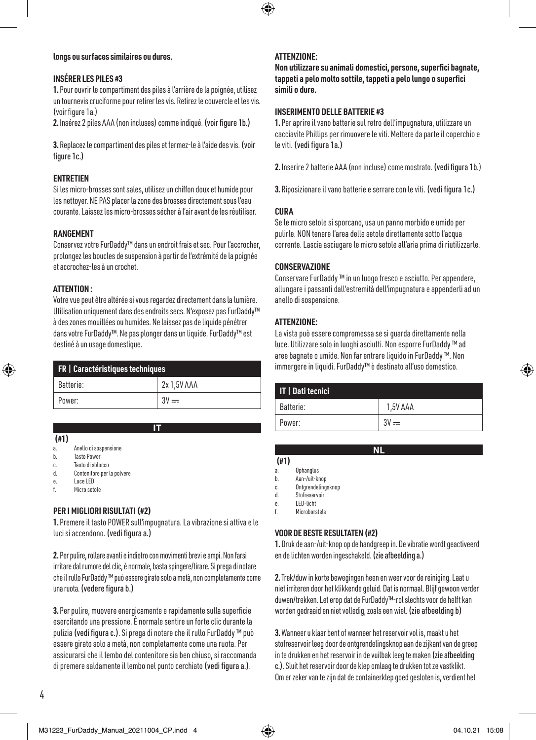## **longs ou surfaces similaires ou dures.**

# **INSÉRER LES PILES #3**

**1.** Pour ouvrir le compartiment des piles à l'arrière de la poignée, utilisez un tournevis cruciforme pour retirer les vis. Retirez le couvercle et les vis. (voir figure 1a.)

**2.** Insérez 2 piles AAA (non incluses) comme indiqué. (voir figure 1b.)

**3.** Replacez le compartiment des piles et fermez-le à l'aide des vis. (voir figure 1c.)

## **ENTRETIEN**

Si les micro-brosses sont sales, utilisez un chiffon doux et humide pour les nettoyer. NE PAS placer la zone des brosses directement sous l'eau courante. Laissez les micro-brosses sécher à l'air avant de les réutiliser.

# **RANGEMENT**

Conservez votre FurDaddy™ dans un endroit frais et sec. Pour l'accrocher, prolongez les boucles de suspension à partir de l'extrémité de la poignée et accrochez-les à un crochet.

## **ATTENTION :**

Votre vue peut être altérée si vous regardez directement dans la lumière. Utilisation uniquement dans des endroits secs. N'exposez pas FurDaddy™ à des zones mouillées ou humides. Ne laissez pas de liquide pénétrer dans votre FurDaddy™. Ne pas plonger dans un liquide. FurDaddy™ est destiné à un usage domestique.

| FR   Caractéristiques techniques |             |
|----------------------------------|-------------|
| Batterie:                        | 2x 1.5V AAA |
| Power:                           |             |

**IT**

## **(#1)**

⊕

- a. Anello di sospensione
- b. Tasto Power
- c. Tasto di sblocco<br>d. Contenitore per Contenitore per la polvere
- e. Luce LED
- Micro setole

## **PER I MIGLIORI RISULTATI (#2)**

**1.** Premere il tasto POWER sull'impugnatura. La vibrazione si attiva e le luci si accendono. (vedi figura a.)

**2.** Per pulire, rollare avanti e indietro con movimenti brevi e ampi. Non farsi irritare dal rumore del clic, è normale, basta spingere/tirare. Si prega di notare che il rullo FurDaddy ™ può essere girato solo a metà, non completamente come una ruota. (vedere figura b.)

**3.** Per pulire, muovere energicamente e rapidamente sulla superficie esercitando una pressione. È normale sentire un forte clic durante la pulizia (vedi figura c.). Si prega di notare che il rullo FurDaddy ™ può essere girato solo a metà, non completamente come una ruota. Per assicurarsi che il lembo del contenitore sia ben chiuso, si raccomanda di premere saldamente il lembo nel punto cerchiato (vedi figura a.).

## **ATTENZIONE:**

⊕

**Non utilizzare su animali domestici, persone, superfici bagnate, tappeti a pelo molto sottile, tappeti a pelo lungo o superfici simili o dure.**

## **INSERIMENTO DELLE BATTERIE #3**

**1.** Per aprire il vano batterie sul retro dell'impugnatura, utilizzare un cacciavite Phillips per rimuovere le viti. Mettere da parte il coperchio e le viti. (vedi figura 1a.)

**2.** Inserire 2 batterie AAA (non incluse) come mostrato. (vedi figura 1b.)

**3.** Riposizionare il vano batterie e serrare con le viti. (vedi figura 1c.)

### **CURA**

Se le micro setole si sporcano, usa un panno morbido e umido per pulirle. NON tenere l'area delle setole direttamente sotto l'acqua corrente. Lascia asciugare le micro setole all'aria prima di riutilizzarle.

# **CONSERVAZIONE**

Conservare FurDaddy ™ in un luogo fresco e asciutto. Per appendere, allungare i passanti dall'estremità dell'impugnatura e appenderli ad un anello di sospensione.

## **ATTENZIONE:**

La vista può essere compromessa se si guarda direttamente nella luce. Utilizzare solo in luoghi asciutti. Non esporre FurDaddy ™ ad aree bagnate o umide. Non far entrare liquido in FurDaddy ™. Non immergere in liquidi. FurDaddy™ è destinato all'uso domestico.

| <b>IT   Dati tecnici</b> |          |
|--------------------------|----------|
| Batterie:                | 1,5V AAA |
| Power:                   | 211      |

**NL**

 **(#1)**

a. Ophanglus<br>b. Aan-/uit-kr b. Aan-/uit-knop

- c. Ontgrendelingsknop
- d. Stofreservoir e. LED-licht
- Microborstels
- 

## **VOOR DE BESTE RESULTATEN (#2)**

**1.** Druk de aan-/uit-knop op de handgreep in. De vibratie wordt geactiveerd en de lichten worden ingeschakeld. (zie afbeelding a.)

**2.**Trek/duw in korte bewegingen heen en weer voor de reiniging. Laat u niet irriteren door het klikkende geluid. Dat is normaal. Blijf gewoon verder duwen/trekken. Let erop dat de FurDaddy™-rol slechts voor de helft kan worden gedraaid en niet volledig, zoals een wiel. (zie afbeelding b)

**3.**Wanneer u klaar bent of wanneer het reservoir vol is, maakt u het stofreservoir leeg door de ontgrendelingsknop aan de zijkant van de greep in te drukken en het reservoir in de vuilbak leeg te maken (zie afbeelding c.). Sluit het reservoir door de klep omlaag te drukken tot ze vastklikt. Om er zeker van te zijn dat de containerklep goed gesloten is, verdient het

⊕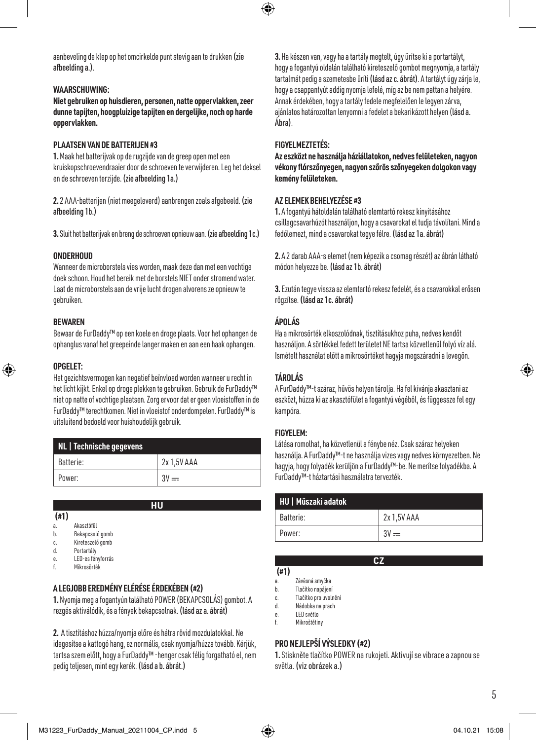aanbeveling de klep op het omcirkelde punt stevig aan te drukken (zie afbeelding a.).

## **WAARSCHUWING:**

**Niet gebruiken op huisdieren, personen, natte oppervlakken, zeer dunne tapijten, hoogpluizige tapijten en dergelijke, noch op harde oppervlakken.**

# **PLAATSEN VAN DE BATTERIJEN #3**

**1.**Maak het batterijvak op de rugzijde van de greep open met een kruiskopschroevendraaier door de schroeven te verwijderen. Leg het deksel en de schroeven terzijde. (zie afbeelding 1a.)

**2.** 2 AAA-batterijen (niet meegeleverd) aanbrengen zoals afgebeeld. (zie afbeelding 1b.)

**3.** Sluit het batterijvak en breng de schroeven opnieuw aan. (zie afbeelding 1c.)

## **ONDERHOUD**

Wanneer de microborstels vies worden, maak deze dan met een vochtige doek schoon. Houd het bereik met de borstels NIET onder stromend water. Laat de microborstels aan de vrije lucht drogen alvorens ze opnieuw te gebruiken.

## **BEWAREN**

Bewaar de FurDaddy™ op een koele en droge plaats. Voor het ophangen de ophanglus vanaf het greepeinde langer maken en aan een haak ophangen.

## **OPGELET:**

 $\bigoplus$ 

Het gezichtsvermogen kan negatief beïnvloed worden wanneer u recht in het licht kijkt. Enkel op droge plekken te gebruiken. Gebruik de FurDaddy™ niet op natte of vochtige plaatsen. Zorg ervoor dat er geen vloeistoffen in de FurDaddy™ terechtkomen. Niet in vloeistof onderdompelen. FurDaddy™ is uitsluitend bedoeld voor huishoudelijk gebruik.

| NL   Technische gegevens |           |
|--------------------------|-----------|
| Batterie:                | 2x1.5VAAA |
| Power:                   | $3V =$    |

**HU**

# **(#1)**

- a. Akasztófül
- b. Bekapcsoló gomb
- c. Kireteszelő gomb
- d. Portartály
- e. LED-es fényforrás<br>f Mikrosörték Mikrosörték

# **A LEGJOBB EREDMÉNY ELÉRÉSE ÉRDEKÉBEN (#2)**

**1.**Nyomja meg a fogantyún található POWER (BEKAPCSOLÁS) gombot. A rezgés aktiválódik, és a fények bekapcsolnak. (lásd az a. ábrát)

**2.** A tisztításhoz húzza/nyomja előre és hátra rövid mozdulatokkal. Ne idegesítse a kattogó hang, ez normális, csak nyomja/húzza tovább. Kérjük, tartsa szem előtt, hogy a FurDaddy™ -henger csak félig forgatható el, nem pedig teljesen, mint egy kerék. (lásd a b. ábrát.)

**3.** Ha készen van, vagy ha a tartály megtelt, úgy ürítse ki a portartályt, hogy a fogantyú oldalán található kireteszelő gombot megnyomja, a tartály tartalmát pedig a szemetesbe üríti (lásd az c. ábrát). A tartályt úgy zárja le, hogy a csappantyút addig nyomja lefelé, míg az be nem pattan a helyére. Annak érdekében, hogy a tartály fedele megfelelően le legyen zárva, ajánlatos határozottan lenyomni a fedelet a bekarikázott helyen (lásd a. Ábra).

## **FIGYELMEZTETÉS:**

€

**Az eszközt ne használja háziállatokon, nedves felületeken, nagyon vékony flórszőnyegen, nagyon szőrös szőnyegeken dolgokon vagy kemény felületeken.**

# **AZ ELEMEK BEHELYEZÉSE #3**

**1.** A fogantyú hátoldalán található elemtartó rekesz kinyitásához csillagcsavarhúzót használjon, hogy a csavarokat el tudja távolítani. Mind a fedőlemezt, mind a csavarokat tegye félre. (lásd az 1a. ábrát)

**2.** A 2 darab AAA-s elemet (nem képezik a csomag részét) az ábrán látható módon helyezze be. (lásd az 1b. ábrát)

**3.**Ezután tegye vissza az elemtartó rekesz fedelét, és a csavarokkal erősen rögzítse. (lásd az 1c. ábrát)

## **ÁPOLÁS**

Ha a mikrosörték elkoszolódnak, tisztításukhoz puha, nedves kendőt használjon. A sörtékkel fedett területet NE tartsa közvetlenül folyó víz alá. Ismételt használat előtt a mikrosörtéket hagyja megszáradni a levegőn.

## **TÁROLÁS**

A FurDaddy™-t száraz, hűvös helyen tárolja. Ha fel kívánja akasztani az eszközt, húzza ki az akasztófület a fogantyú végéből, és függessze fel egy kampóra.

### **FIGYELEM:**

Látása romolhat, ha közvetlenül a fénybe néz. Csak száraz helyeken használja. A FurDaddy™-t ne használja vizes vagy nedves környezetben. Ne hagyja, hogy folyadék kerüljön a FurDaddy™-be. Ne merítse folyadékba. A FurDaddy™-t háztartási használatra tervezték.

| HU   Műszaki adatok |             |
|---------------------|-------------|
| Batterie:           | 2x 1,5V AAA |
| Power:              | $3V =$      |

**CZ**

# **(#1)**

a. Závěsná smyčka b. Tlačítko napájení

c. Tlačítko pro uvolnění

- d. Nádobka na prach<br>e. IFD světlo
- e. LED světlo<br>f. Mikroštěti
- Mikroštětiny

# **PRO NEJLEPŠÍ VÝSLEDKY (#2)**

**1.** Stiskněte tlačítko POWER na rukojeti. Aktivují se vibrace a zapnou se světla. (viz obrázek a.)

⊕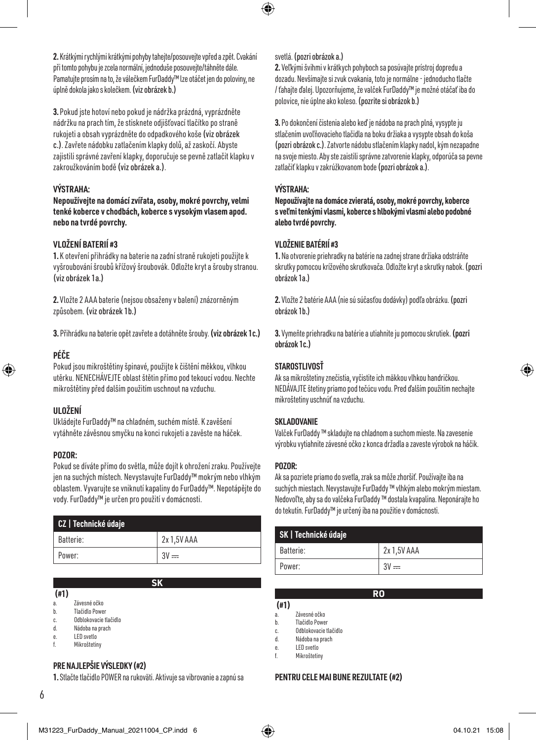**2.** Krátkými rychlými krátkými pohyby tahejte/posouvejte vpřed a zpět. Cvakání při tomto pohybu je zcela normální, jednoduše posouvejte/táhněte dále. Pamatujte prosím na to, že válečkem FurDaddy™ lze otáčet jen do poloviny, ne úplně dokola jako s kolečkem. (viz obrázek b.)

**3.** Pokud jste hotoví nebo pokud je nádržka prázdná, vyprázdněte nádržku na prach tím, že stisknete odjišťovací tlačítko po straně rukojeti a obsah vyprázdněte do odpadkového koše (viz obrázek c.). Zavřete nádobku zatlačením klapky dolů, až zaskočí. Abyste zajistili správné zavření klapky, doporučuje se pevně zatlačit klapku v zakroužkováním bodě (viz obrázek a.).

# **VÝSTRAHA:**

**Nepoužívejte na domácí zvířata, osoby, mokré povrchy, velmi tenké koberce v chodbách, koberce s vysokým vlasem apod. nebo na tvrdé povrchy.**

# **VLOŽENÍ BATERIÍ #3**

**1.** K otevření přihrádky na baterie na zadní straně rukojeti použijte k vyšroubování šroubů křížový šroubovák. Odložte kryt a šrouby stranou. (viz obrázek 1a.)

**2.** Vložte 2 AAA baterie (nejsou obsaženy v balení) znázorněným způsobem. (viz obrázek 1b.)

**3.** Přihrádku na baterie opět zavřete a dotáhněte šrouby. (viz obrázek 1c.)

# **PÉČE**

↔

Pokud jsou mikroštětiny špinavé, použijte k čištění měkkou, vlhkou utěrku. NENECHÁVEJTE oblast štětin přímo pod tekoucí vodou. Nechte mikroštětiny před dalším použitím uschnout na vzduchu.

## **ULOŽENÍ**

Ukládejte FurDaddy™ na chladném, suchém místě. K zavěšení vytáhněte závěsnou smyčku na konci rukojeti a zavěste na háček.

# **POZOR:**

Pokud se díváte přímo do světla, může dojít k ohrožení zraku. Používejte jen na suchých místech. Nevystavujte FurDaddy™ mokrým nebo vlhkým oblastem. Vyvarujte se vniknutí kapaliny do FurDaddy™. Nepotápějte do vody. FurDaddy™ je určen pro použití v domácnosti.

| CZ   Technické údaje |             |  |
|----------------------|-------------|--|
| Batterie:            | 2x 1,5V AAA |  |
| Power:               |             |  |

**SK**

# **(#1)**

- a. Závesné očko
- b. Tlačidlo Power
- c. Odblokovacie tlačidlo d. Nádoba na prach
- e. LED svetlo
- f. Mikroštetiny

# **PRE NAJLEPŠIE VÝSLEDKY (#2)**

**1.** Stlačte tlačidlo POWER na rukoväti. Aktivuje sa vibrovanie a zapnú sa

## svetlá. (pozri obrázok a.)

⊕

**2.** Veľkými švihmi v krátkych pohyboch sa posúvajte prístroj dopredu a dozadu. Nevšímajte si zvuk cvakania, toto je normálne - jednoducho tlačte / ťahajte ďalej. Upozorňujeme, že valček FurDaddy™ je možné otáčať iba do polovice, nie úplne ako koleso. (pozrite si obrázok b.)

**3.** Po dokončení čistenia alebo keď je nádoba na prach plná, vysypte ju stlačením uvoľňovacieho tlačidla na boku držiaka a vysypte obsah do koša (pozri obrázok c.). Zatvorte nádobu stlačením klapky nadol, kým nezapadne na svoje miesto. Aby ste zaistili správne zatvorenie klapky, odporúča sa pevne zatlačiť klapku v zakrúžkovanom bode (pozri obrázok a.).

## **VÝSTRAHA:**

**Nepoužívajte na domáce zvieratá, osoby, mokré povrchy, koberce s veľmi tenkými vlasmi, koberce s hlbokými vlasmi alebo podobné alebo tvrdé povrchy.**

# **VLOŽENIE BATÉRIÍ #3**

**1.** Na otvorenie priehradky na batérie na zadnej strane držiaka odstráňte skrutky pomocou krížového skrutkovača. Odložte kryt a skrutky nabok. (pozri obrázok 1a.)

**2.** Vložte 2 batérie AAA (nie sú súčasťou dodávky) podľa obrázku. (pozri obrázok 1b.)

**3.** Vymeňte priehradku na batérie a utiahnite ju pomocou skrutiek. (pozri obrázok 1c.)

# **STAROSTLIVOSŤ**

Ak sa mikroštetiny znečistia, vyčistite ich mäkkou vlhkou handričkou. NEDÁVAJTE štetiny priamo pod tečúcu vodu. Pred ďalším použitím nechajte mikroštetiny uschnúť na vzduchu.

## **SKLADOVANIE**

Valček FurDaddy ™ skladujte na chladnom a suchom mieste. Na zavesenie výrobku vytiahnite závesné očko z konca držadla a zaveste výrobok na háčik.

## **POZOR:**

Ak sa pozriete priamo do svetla, zrak sa môže zhoršiť. Používajte iba na suchých miestach. Nevystavujte FurDaddy ™ vlhkým alebo mokrým miestam. Nedovoľte, aby sa do valčeka FurDaddy ™ dostala kvapalina. Neponárajte ho do tekutín. FurDaddy™ je určený iba na použitie v domácnosti.

| SK   Technické údaje |             |
|----------------------|-------------|
| Batterie:            | 2x 1,5V AAA |
| Power:               |             |

**RO**

 **(#1)**

- a. Závesné očko<br>h Tlačidlo Powe b. Tlačidlo Power
- 
- c. Odblokovacie tlačidlo Nádoba na prach
- 
- e. LED svetlo Mikroštetiny

# **PENTRU CELE MAI BUNE REZULTATE (#2)**

♠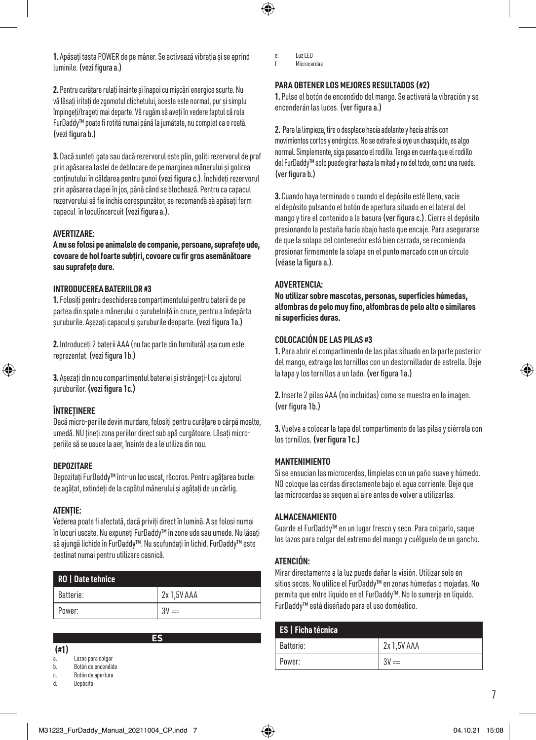**1.** Apăsați tasta POWER de pe mâner. Se activează vibrația și se aprind luminile. (vezi figura a.)

**2.** Pentru curăţare rulaţi înainte şi înapoi cu mişcări energice scurte. Nu vă lăsati iritati de zgomotul clichetului, acesta este normal, pur și simplu împingeţi/trageţi mai departe. Vă rugăm să aveți în vedere faptul că rola FurDaddy™ poate fi rotită numai până la jumătate, nu complet ca o roată. (vezi figura b.)

**3.** Dacă sunteți gata sau dacă rezervorul este plin, goliți rezervorul de praf prin apăsarea tastei de deblocare de pe marginea mânerului și golirea conținutului în căldarea pentru gunoi (vezi figura c.). Închideți rezervorul prin apăsarea clapei în jos, până când se blochează. Pentru ca capacul rezervorului să fie închis corespunzător, se recomandă să apăsați ferm capacul în loculîncercuit (vezi figura a.).

## **AVERTIZARE:**

**A nu se folosi pe animalele de companie, persoane, suprafețe ude, covoare de hol foarte subțiri, covoare cu fir gros asemănătoare sau suprafețe dure.**

## **INTRODUCEREA BATERIILOR #3**

**1.**Folosiți pentru deschiderea compartimentului pentru baterii de pe partea din spate a mânerului o șurubelniță în cruce, pentru a îndepărta șuruburile. Așezați capacul și șuruburile deoparte. (vezi figura 1a.)

**2.** Introduceți 2 baterii AAA (nu fac parte din furnitură) așa cum este reprezentat. (vezi figura 1b.)

**3.** Așezați din nou compartimentul bateriei și strângeți-l cu ajutorul suruburilor. (vezi figura 1c.)

## **ÎNTREȚINERE**

↔

Dacă micro-periile devin murdare, folosiți pentru curățare o cârpă moalte, umedă. NU țineți zona periilor direct sub apă curgătoare. Lăsați microperiile să se usuce la aer, înainte de a le utiliza din nou.

## **DEPOZITARE**

Depozitați FurDaddy™ într-un loc uscat, răcoros. Pentru agățarea buclei de agățat, extindeți de la capătul mânerului și agățați de un cârlig.

## **ATENȚIE:**

Vederea poate fi afectată, dacă priviți direct în lumină. A se folosi numai în locuri uscate. Nu expuneți FurDaddy™ în zone ude sau umede. Nu lăsați să ajungă lichide în FurDaddy™. Nu scufundați în lichid. FurDaddy™ este destinat numai pentru utilizare casnică.

| <b>RO   Date tehnice</b> |             |
|--------------------------|-------------|
| Batterie:                | 2x 1,5V AAA |
| Power:                   | 5١          |

**ES**

# **(#1)**

- a. Lazos para colga<br>h Rotón de encendi
- b. Botón de encendido
- c. Botón de apertura
- Depósito

e. Luz LED

⊕

Microcerdas

## **PARA OBTENER LOS MEJORES RESULTADOS (#2)**

**1.** Pulse el botón de encendido del mango. Se activará la vibración y se encenderán las luces. (ver figura a.)

**2.** Para la limpieza, tire o desplace hacia adelante y hacia atrás con movimientos cortos y enérgicos. No se extrañe si oye un chasquido, es algo normal. Simplemente, siga pasando el rodillo. Tenga en cuenta que el rodillo del FurDaddy™ solo puede girar hasta la mitad y no del todo, como una rueda. (ver figura b.)

**3.** Cuando haya terminado o cuando el depósito esté lleno, vacíe el depósito pulsando el botón de apertura situado en el lateral del mango y tire el contenido a la basura (ver figura c.). Cierre el depósito presionando la pestaña hacia abajo hasta que encaje. Para asegurarse de que la solapa del contenedor está bien cerrada, se recomienda presionar firmemente la solapa en el punto marcado con un círculo (véase la figura a.).

# **ADVERTENCIA:**

**No utilizar sobre mascotas, personas, superficies húmedas, alfombras de pelo muy fino, alfombras de pelo alto o similares ni superficies duras.**

# **COLOCACIÓN DE LAS PILAS #3**

**1.** Para abrir el compartimento de las pilas situado en la parte posterior del mango, extraiga los tornillos con un destornillador de estrella. Deje la tapa y los tornillos a un lado. (ver figura 1a.)

**2.** Inserte 2 pilas AAA (no incluidas) como se muestra en la imagen. (ver figura 1b.)

**3.** Vuelva a colocar la tapa del compartimento de las pilas y ciérrela con los tornillos. (ver figura 1c.)

## **MANTENIMIENTO**

Si se ensucian las microcerdas, límpielas con un paño suave y húmedo. NO coloque las cerdas directamente bajo el agua corriente. Deje que las microcerdas se sequen al aire antes de volver a utilizarlas.

# **ALMACENAMIENTO**

Guarde el FurDaddy™ en un lugar fresco y seco. Para colgarlo, saque los lazos para colgar del extremo del mango y cuélguelo de un gancho.

# **ATENCIÓN:**

Mirar directamente a la luz puede dañar la visión. Utilizar solo en sitios secos. No utilice el FurDaddy™ en zonas húmedas o mojadas. No permita que entre líquido en el FurDaddy™. No lo sumerja en líquido. FurDaddy™ está diseñado para el uso doméstico.

| <b>ES   Ficha técnica</b> |             |
|---------------------------|-------------|
| Batterie:                 | 2x 1,5V AAA |
| Power:                    | $3V =$      |

♠